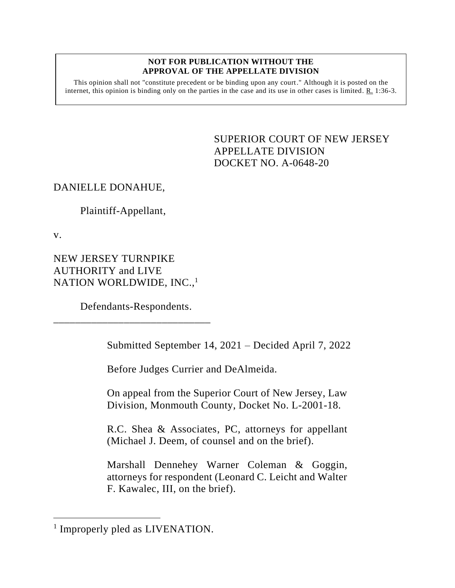### **NOT FOR PUBLICATION WITHOUT THE APPROVAL OF THE APPELLATE DIVISION**

This opinion shall not "constitute precedent or be binding upon any court." Although it is posted on the internet, this opinion is binding only on the parties in the case and its use in other cases is limited. R. 1:36-3.

> <span id="page-0-0"></span>SUPERIOR COURT OF NEW JERSEY APPELLATE DIVISION DOCKET NO. A-0648-20

# DANIELLE DONAHUE,

## Plaintiff-Appellant,

v.

NEW JERSEY TURNPIKE AUTHORITY and LIVE NATION WORLDWIDE, INC.,<sup>1</sup>

Defendants-Respondents.

\_\_\_\_\_\_\_\_\_\_\_\_\_\_\_\_\_\_\_\_\_\_\_\_\_\_\_\_\_

Submitted September 14, 2021 – Decided April 7, 2022

Before Judges Currier and DeAlmeida.

On appeal from the Superior Court of New Jersey, Law Division, Monmouth County, Docket No. L-2001-18.

R.C. Shea & Associates, PC, attorneys for appellant (Michael J. Deem, of counsel and on the brief).

Marshall Dennehey Warner Coleman & Goggin, attorneys for respondent (Leonard C. Leicht and Walter F. Kawalec, III, on the brief).

<sup>&</sup>lt;sup>1</sup> Improperly pled as LIVENATION.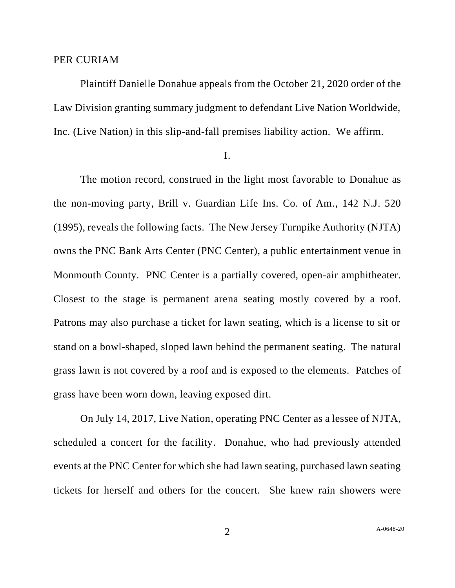### PER CURIAM

Plaintiff Danielle Donahue appeals from the October 21, 2020 order of the Law Division granting summary judgment to defendant Live Nation Worldwide, Inc. (Live Nation) in this slip-and-fall premises liability action. We affirm.

I.

The motion record, construed in the light most favorable to Donahue as the non-moving party, Brill v. Guardian Life Ins. Co. of Am., 142 N.J. 520 (1995), reveals the following facts. The New Jersey Turnpike Authority (NJTA) owns the PNC Bank Arts Center (PNC Center), a public entertainment venue in Monmouth County. PNC Center is a partially covered, open-air amphitheater. Closest to the stage is permanent arena seating mostly covered by a roof. Patrons may also purchase a ticket for lawn seating, which is a license to sit or stand on a bowl-shaped, sloped lawn behind the permanent seating. The natural grass lawn is not covered by a roof and is exposed to the elements. Patches of grass have been worn down, leaving exposed dirt.

On July 14, 2017, Live Nation, operating PNC Center as a lessee of NJTA, scheduled a concert for the facility. Donahue, who had previously attended events at the PNC Center for which she had lawn seating, purchased lawn seating tickets for herself and others for the concert. She knew rain showers were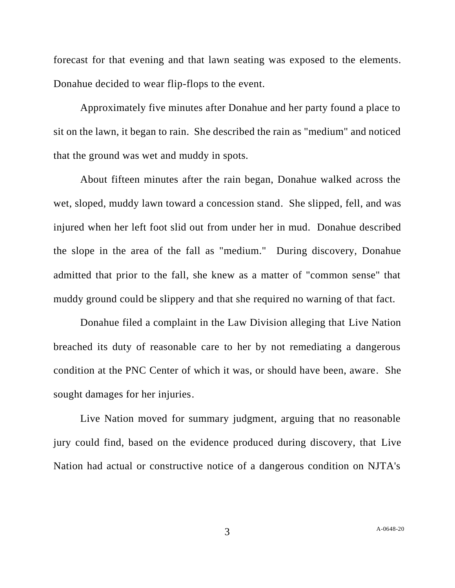forecast for that evening and that lawn seating was exposed to the elements. Donahue decided to wear flip-flops to the event.

Approximately five minutes after Donahue and her party found a place to sit on the lawn, it began to rain. She described the rain as "medium" and noticed that the ground was wet and muddy in spots.

About fifteen minutes after the rain began, Donahue walked across the wet, sloped, muddy lawn toward a concession stand. She slipped, fell, and was injured when her left foot slid out from under her in mud. Donahue described the slope in the area of the fall as "medium." During discovery, Donahue admitted that prior to the fall, she knew as a matter of "common sense" that muddy ground could be slippery and that she required no warning of that fact.

Donahue filed a complaint in the Law Division alleging that Live Nation breached its duty of reasonable care to her by not remediating a dangerous condition at the PNC Center of which it was, or should have been, aware. She sought damages for her injuries.

Live Nation moved for summary judgment, arguing that no reasonable jury could find, based on the evidence produced during discovery, that Live Nation had actual or constructive notice of a dangerous condition on NJTA's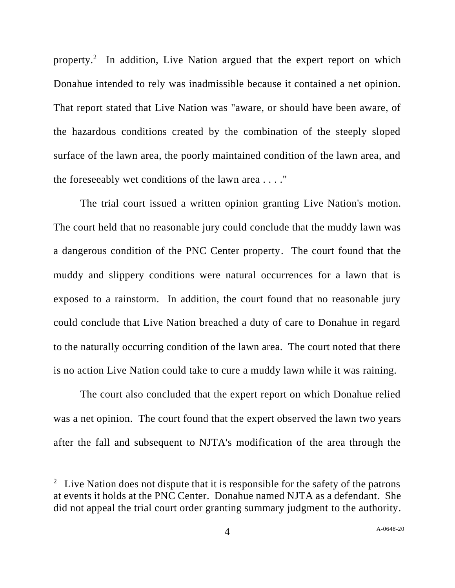property.<sup>2</sup> In addition, Live Nation argued that the expert report on which Donahue intended to rely was inadmissible because it contained a net opinion. That report stated that Live Nation was "aware, or should have been aware, of the hazardous conditions created by the combination of the steeply sloped surface of the lawn area, the poorly maintained condition of the lawn area, and the foreseeably wet conditions of the lawn area . . . ."

The trial court issued a written opinion granting Live Nation's motion. The court held that no reasonable jury could conclude that the muddy lawn was a dangerous condition of the PNC Center property. The court found that the muddy and slippery conditions were natural occurrences for a lawn that is exposed to a rainstorm. In addition, the court found that no reasonable jury could conclude that Live Nation breached a duty of care to Donahue in regard to the naturally occurring condition of the lawn area. The court noted that there is no action Live Nation could take to cure a muddy lawn while it was raining.

The court also concluded that the expert report on which Donahue relied was a net opinion. The court found that the expert observed the lawn two years after the fall and subsequent to NJTA's modification of the area through the

<sup>&</sup>lt;sup>2</sup> Live Nation does not dispute that it is responsible for the safety of the patrons at events it holds at the PNC Center. Donahue named NJTA as a defendant. She did not appeal the trial court order granting summary judgment to the authority.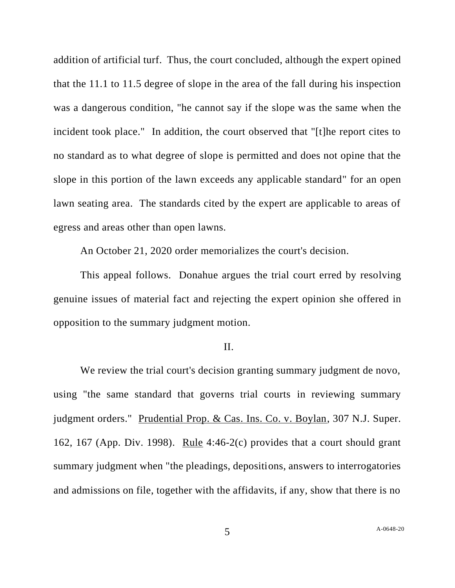addition of artificial turf. Thus, the court concluded, although the expert opined that the 11.1 to 11.5 degree of slope in the area of the fall during his inspection was a dangerous condition, "he cannot say if the slope was the same when the incident took place." In addition, the court observed that "[t]he report cites to no standard as to what degree of slope is permitted and does not opine that the slope in this portion of the lawn exceeds any applicable standard" for an open lawn seating area. The standards cited by the expert are applicable to areas of egress and areas other than open lawns.

An October 21, 2020 order memorializes the court's decision.

This appeal follows. Donahue argues the trial court erred by resolving genuine issues of material fact and rejecting the expert opinion she offered in opposition to the summary judgment motion.

### II.

We review the trial court's decision granting summary judgment de novo, using "the same standard that governs trial courts in reviewing summary judgment orders." Prudential Prop. & Cas. Ins. Co. v. Boylan, 307 N.J. Super. 162, 167 (App. Div. 1998). Rule 4:46-2(c) provides that a court should grant summary judgment when "the pleadings, depositions, answers to interrogatories and admissions on file, together with the affidavits, if any, show that there is no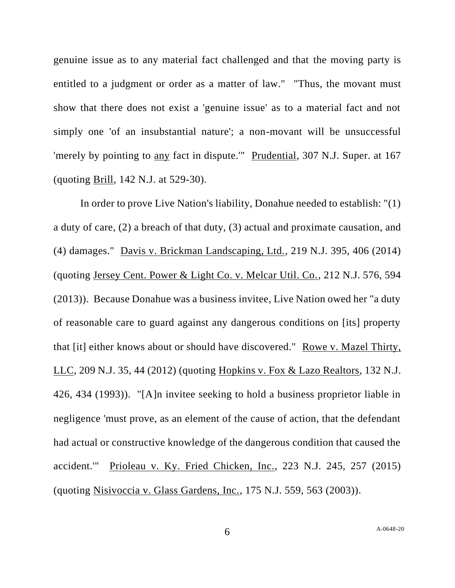genuine issue as to any material fact challenged and that the moving party is entitled to a judgment or order as a matter of law." "Thus, the movant must show that there does not exist a 'genuine issue' as to a material fact and not simply one 'of an insubstantial nature'; a non-movant will be unsuccessful 'merely by pointing to any fact in dispute.'" Prudential, 307 N.J. Super. at 167 (quoting Brill, 142 N.J. at 529-30).

In order to prove Live Nation's liability, Donahue needed to establish: "(1) a duty of care, (2) a breach of that duty, (3) actual and proximate causation, and (4) damages." Davis v. Brickman Landscaping, Ltd., 219 N.J. 395, 406 (2014) (quoting Jersey Cent. Power & Light Co. v. Melcar Util. Co., 212 N.J. 576, 594 (2013)). Because Donahue was a business invitee, Live Nation owed her "a duty of reasonable care to guard against any dangerous conditions on [its] property that [it] either knows about or should have discovered." Rowe v. Mazel Thirty, LLC, 209 N.J. 35, 44 (2012) (quoting Hopkins v. Fox & Lazo Realtors, 132 N.J. 426, 434 (1993)). "[A]n invitee seeking to hold a business proprietor liable in negligence 'must prove, as an element of the cause of action, that the defendant had actual or constructive knowledge of the dangerous condition that caused the accident.'" Prioleau v. Ky. Fried Chicken, Inc., 223 N.J. 245, 257 (2015) (quoting Nisivoccia v. Glass Gardens, Inc., 175 N.J. 559, 563 (2003)).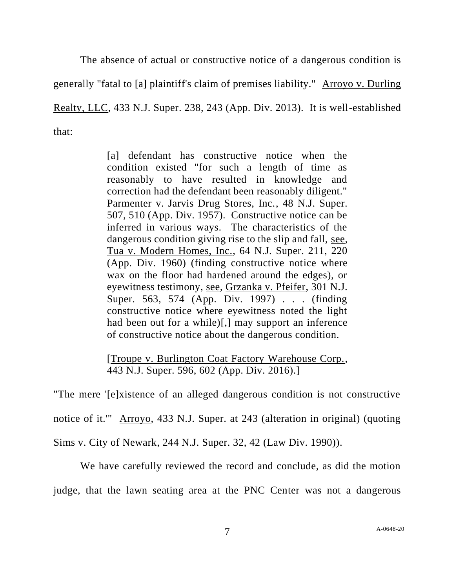The absence of actual or constructive notice of a dangerous condition is generally "fatal to [a] plaintiff's claim of premises liability." Arroyo v. Durling Realty, LLC, 433 N.J. Super. 238, 243 (App. Div. 2013). It is well-established that:

> [a] defendant has constructive notice when the condition existed "for such a length of time as reasonably to have resulted in knowledge and correction had the defendant been reasonably diligent." Parmenter v. Jarvis Drug Stores, Inc., 48 N.J. Super. 507, 510 (App. Div. 1957). Constructive notice can be inferred in various ways. The characteristics of the dangerous condition giving rise to the slip and fall, see, Tua v. Modern Homes, Inc., 64 N.J. Super. 211, 220 (App. Div. 1960) (finding constructive notice where wax on the floor had hardened around the edges), or eyewitness testimony, see, Grzanka v. Pfeifer, 301 N.J. Super. 563, 574 (App. Div. 1997) . . . (finding constructive notice where eyewitness noted the light had been out for a while)[,] may support an inference of constructive notice about the dangerous condition.

> [Troupe v. Burlington Coat Factory Warehouse Corp., 443 N.J. Super. 596, 602 (App. Div. 2016).]

"The mere '[e]xistence of an alleged dangerous condition is not constructive notice of it." Arroyo, 433 N.J. Super. at 243 (alteration in original) (quoting Sims v. City of Newark, 244 N.J. Super. 32, 42 (Law Div. 1990)).

We have carefully reviewed the record and conclude, as did the motion judge, that the lawn seating area at the PNC Center was not a dangerous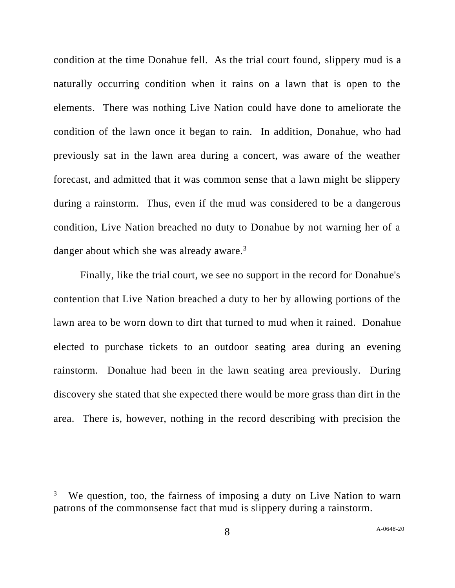condition at the time Donahue fell. As the trial court found, slippery mud is a naturally occurring condition when it rains on a lawn that is open to the elements. There was nothing Live Nation could have done to ameliorate the condition of the lawn once it began to rain. In addition, Donahue, who had previously sat in the lawn area during a concert, was aware of the weather forecast, and admitted that it was common sense that a lawn might be slippery during a rainstorm. Thus, even if the mud was considered to be a dangerous condition, Live Nation breached no duty to Donahue by not warning her of a danger about which she was already aware. $3$ 

Finally, like the trial court, we see no support in the record for Donahue's contention that Live Nation breached a duty to her by allowing portions of the lawn area to be worn down to dirt that turned to mud when it rained. Donahue elected to purchase tickets to an outdoor seating area during an evening rainstorm. Donahue had been in the lawn seating area previously. During discovery she stated that she expected there would be more grass than dirt in the area. There is, however, nothing in the record describing with precision the

<sup>3</sup> We question, too, the fairness of imposing a duty on Live Nation to warn patrons of the commonsense fact that mud is slippery during a rainstorm.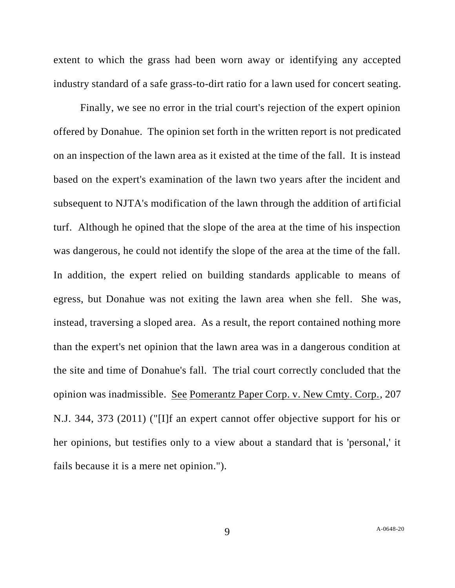extent to which the grass had been worn away or identifying any accepted industry standard of a safe grass-to-dirt ratio for a lawn used for concert seating.

Finally, we see no error in the trial court's rejection of the expert opinion offered by Donahue. The opinion set forth in the written report is not predicated on an inspection of the lawn area as it existed at the time of the fall. It is instead based on the expert's examination of the lawn two years after the incident and subsequent to NJTA's modification of the lawn through the addition of artificial turf. Although he opined that the slope of the area at the time of his inspection was dangerous, he could not identify the slope of the area at the time of the fall. In addition, the expert relied on building standards applicable to means of egress, but Donahue was not exiting the lawn area when she fell. She was, instead, traversing a sloped area. As a result, the report contained nothing more than the expert's net opinion that the lawn area was in a dangerous condition at the site and time of Donahue's fall. The trial court correctly concluded that the opinion was inadmissible. See Pomerantz Paper Corp. v. New Cmty. Corp., 207 N.J. 344, 373 (2011) ("[I]f an expert cannot offer objective support for his or her opinions, but testifies only to a view about a standard that is 'personal,' it fails because it is a mere net opinion.").